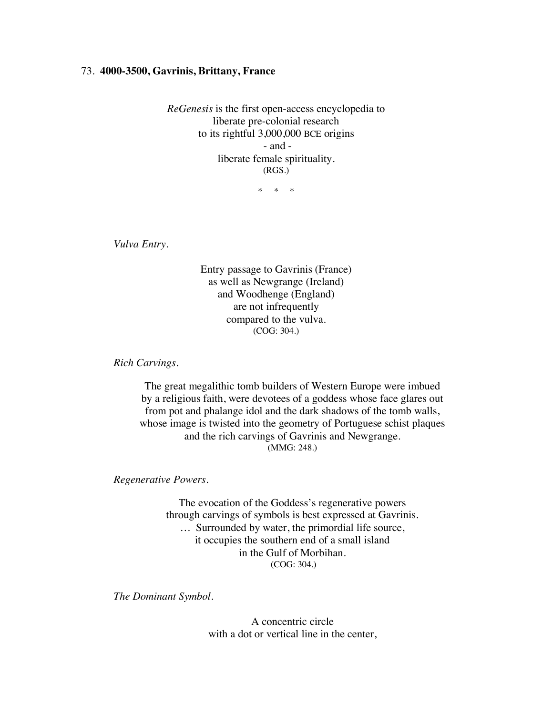## 73. **4000-3500, Gavrinis, Brittany, France**

*ReGenesis* is the first open-access encyclopedia to liberate pre-colonial research to its rightful 3,000,000 BCE origins - and liberate female spirituality. (RGS.)

\* \* \*

*Vulva Entry.*

Entry passage to Gavrinis (France) as well as Newgrange (Ireland) and Woodhenge (England) are not infrequently compared to the vulva. (COG: 304.)

*Rich Carvings.*

The great megalithic tomb builders of Western Europe were imbued by a religious faith, were devotees of a goddess whose face glares out from pot and phalange idol and the dark shadows of the tomb walls, whose image is twisted into the geometry of Portuguese schist plaques and the rich carvings of Gavrinis and Newgrange. (MMG: 248.)

*Regenerative Powers.*

The evocation of the Goddess's regenerative powers through carvings of symbols is best expressed at Gavrinis. … Surrounded by water, the primordial life source, it occupies the southern end of a small island in the Gulf of Morbihan. **(**COG: 304.)

*The Dominant Symbol.*

A concentric circle with a dot or vertical line in the center,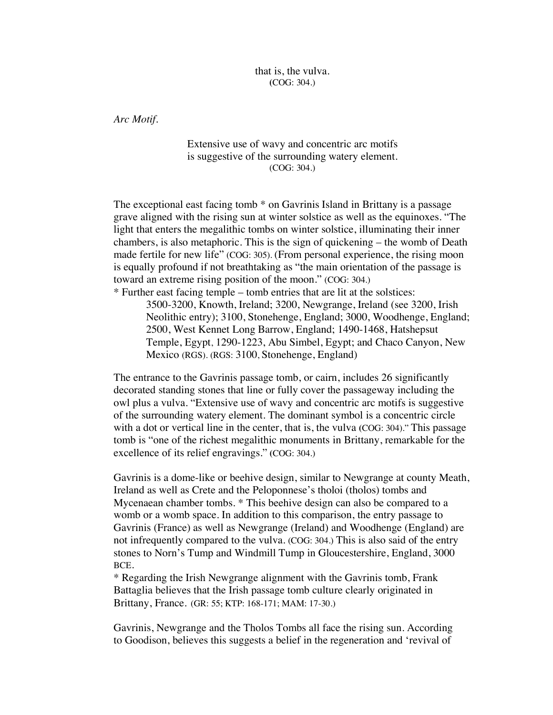that is, the vulva. **(**COG: 304.)

*Arc Motif.* 

## Extensive use of wavy and concentric arc motifs is suggestive of the surrounding watery element. (COG: 304.)

The exceptional east facing tomb \* on Gavrinis Island in Brittany is a passage grave aligned with the rising sun at winter solstice as well as the equinoxes. "The light that enters the megalithic tombs on winter solstice, illuminating their inner chambers, is also metaphoric. This is the sign of quickening – the womb of Death made fertile for new life" (COG: 305). (From personal experience, the rising moon is equally profound if not breathtaking as "the main orientation of the passage is toward an extreme rising position of the moon." (COG: 304.)

\* Further east facing temple – tomb entries that are lit at the solstices: 3500-3200, Knowth, Ireland; 3200, Newgrange, Ireland (see 3200, Irish Neolithic entry); 3100, Stonehenge, England; 3000, Woodhenge, England; 2500, West Kennet Long Barrow, England; 1490-1468, Hatshepsut Temple, Egypt, 1290-1223, Abu Simbel, Egypt; and Chaco Canyon, New Mexico (RGS). (RGS: 3100, Stonehenge, England)

The entrance to the Gavrinis passage tomb, or cairn, includes 26 significantly decorated standing stones that line or fully cover the passageway including the owl plus a vulva. "Extensive use of wavy and concentric arc motifs is suggestive of the surrounding watery element. The dominant symbol is a concentric circle with a dot or vertical line in the center, that is, the vulva **(**COG: 304)." This passage tomb is "one of the richest megalithic monuments in Brittany, remarkable for the excellence of its relief engravings." **(**COG: 304.)

Gavrinis is a dome-like or beehive design, similar to Newgrange at county Meath, Ireland as well as Crete and the Peloponnese's tholoi (tholos) tombs and Mycenaean chamber tombs. \* This beehive design can also be compared to a womb or a womb space. In addition to this comparison, the entry passage to Gavrinis (France) as well as Newgrange (Ireland) and Woodhenge (England) are not infrequently compared to the vulva. (COG: 304.) This is also said of the entry stones to Norn's Tump and Windmill Tump in Gloucestershire, England, 3000 BCE.

\* Regarding the Irish Newgrange alignment with the Gavrinis tomb, Frank Battaglia believes that the Irish passage tomb culture clearly originated in Brittany, France. (GR: 55; KTP: 168-171; MAM: 17-30.)

Gavrinis, Newgrange and the Tholos Tombs all face the rising sun. According to Goodison, believes this suggests a belief in the regeneration and 'revival of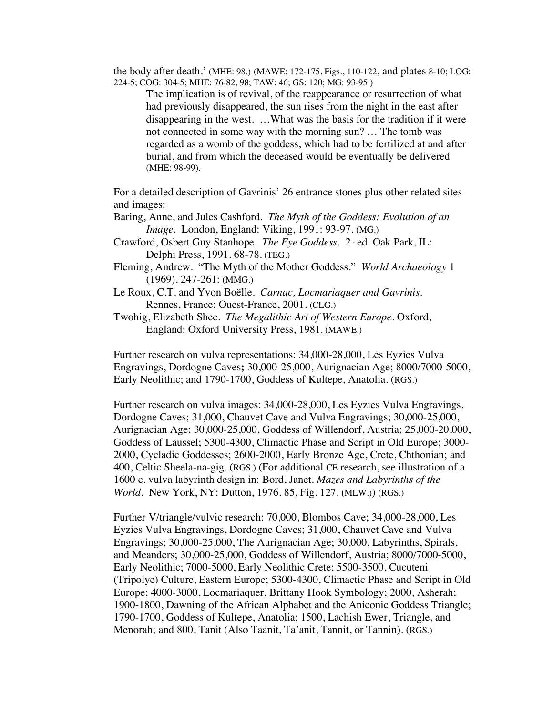the body after death.' (MHE: 98.) (MAWE: 172-175, Figs., 110-122, and plates 8-10; LOG: 224-5; COG: 304-5; MHE: 76-82, 98; TAW: 46; GS: 120; MG: 93-95.)

The implication is of revival, of the reappearance or resurrection of what had previously disappeared, the sun rises from the night in the east after disappearing in the west. …What was the basis for the tradition if it were not connected in some way with the morning sun? … The tomb was regarded as a womb of the goddess, which had to be fertilized at and after burial, and from which the deceased would be eventually be delivered (MHE: 98-99).

For a detailed description of Gavrinis' 26 entrance stones plus other related sites and images:

- Baring, Anne, and Jules Cashford. *The Myth of the Goddess: Evolution of an Image*. London, England: Viking, 1991: 93-97. (MG.)
- Crawford, Osbert Guy Stanhope. *The Eye Goddess*. 2<sup>nd</sup> ed. Oak Park, IL: Delphi Press, 1991. 68-78. (TEG.)
- Fleming, Andrew. "The Myth of the Mother Goddess." *World Archaeology* 1 (1969). 247-261: (MMG.)
- Le Roux, C.T. and Yvon Boëlle. *Carnac, Locmariaquer and Gavrinis*. Rennes, France: Ouest-France, 2001. (CLG.)
- Twohig, Elizabeth Shee. *The Megalithic Art of Western Europe*. Oxford, England: Oxford University Press, 1981. (MAWE.)

Further research on vulva representations: 34,000-28,000, Les Eyzies Vulva Engravings, Dordogne Caves**;** 30,000-25,000, Aurignacian Age; 8000/7000-5000, Early Neolithic; and 1790-1700, Goddess of Kultepe, Anatolia. (RGS.)

Further research on vulva images: 34,000-28,000, Les Eyzies Vulva Engravings, Dordogne Caves; 31,000, Chauvet Cave and Vulva Engravings; 30,000-25,000, Aurignacian Age; 30,000-25,000, Goddess of Willendorf, Austria; 25,000-20,000, Goddess of Laussel; 5300-4300, Climactic Phase and Script in Old Europe; 3000- 2000, Cycladic Goddesses; 2600-2000, Early Bronze Age, Crete, Chthonian; and 400, Celtic Sheela-na-gig. (RGS.) (For additional CE research, see illustration of a 1600 c. vulva labyrinth design in: Bord, Janet. *Mazes and Labyrinths of the World*. New York, NY: Dutton, 1976. 85, Fig. 127. **(**MLW.)) (RGS.)

Further V/triangle/vulvic research: 70,000, Blombos Cave; 34,000-28,000, Les Eyzies Vulva Engravings, Dordogne Caves; 31,000, Chauvet Cave and Vulva Engravings; 30,000-25,000, The Aurignacian Age; 30,000, Labyrinths, Spirals, and Meanders; 30,000-25,000, Goddess of Willendorf, Austria; 8000/7000-5000, Early Neolithic; 7000-5000, Early Neolithic Crete; 5500-3500, Cucuteni (Tripolye) Culture, Eastern Europe; 5300-4300, Climactic Phase and Script in Old Europe; 4000-3000, Locmariaquer, Brittany Hook Symbology; 2000, Asherah; 1900-1800, Dawning of the African Alphabet and the Aniconic Goddess Triangle; 1790-1700, Goddess of Kultepe, Anatolia; 1500, Lachish Ewer, Triangle, and Menorah; and 800, Tanit (Also Taanit, Ta'anit, Tannit, or Tannin). (RGS.)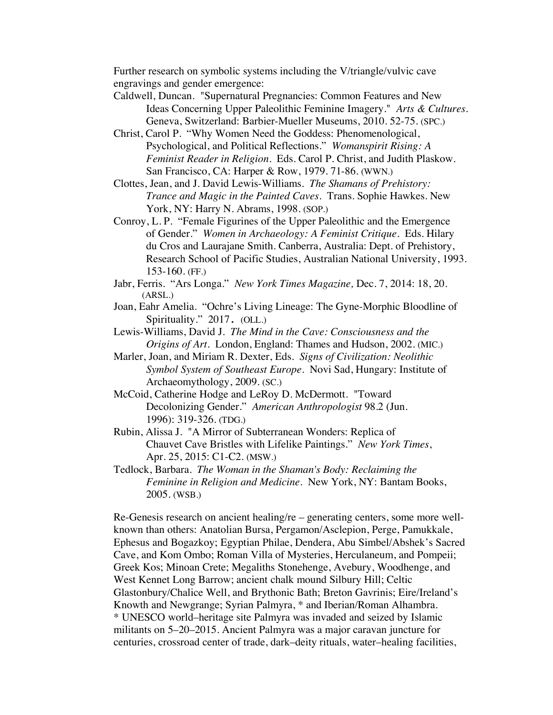Further research on symbolic systems including the V/triangle/vulvic cave engravings and gender emergence:

- Caldwell, Duncan. "Supernatural Pregnancies: Common Features and New Ideas Concerning Upper Paleolithic Feminine Imagery." *Arts & Cultures.*  Geneva, Switzerland: Barbier-Mueller Museums, 2010. 52-75. (SPC.)
- Christ, Carol P. "Why Women Need the Goddess: Phenomenological, Psychological, and Political Reflections." *Womanspirit Rising: A Feminist Reader in Religion*. Eds. Carol P. Christ, and Judith Plaskow. San Francisco, CA: Harper & Row, 1979. 71-86. (WWN.)
- Clottes, Jean, and J. David Lewis-Williams. *The Shamans of Prehistory: Trance and Magic in the Painted Caves.* Trans. Sophie Hawkes. New York, NY: Harry N. Abrams, 1998. (SOP.)
- Conroy, L. P. "Female Figurines of the Upper Paleolithic and the Emergence of Gender." *Women in Archaeology: A Feminist Critique*. Eds. Hilary du Cros and Laurajane Smith. Canberra, Australia: Dept. of Prehistory, Research School of Pacific Studies, Australian National University, 1993. 153-160. (FF.)
- Jabr, Ferris. "Ars Longa." *New York Times Magazine,* Dec. 7, 2014: 18, 20. (ARSL.)
- Joan, Eahr Amelia. "Ochre's Living Lineage: The Gyne-Morphic Bloodline of Spirituality." 2017. (OLL.)
- Lewis-Williams, David J. *The Mind in the Cave: Consciousness and the Origins of Art.* London, England: Thames and Hudson, 2002. (MIC.)
- Marler, Joan, and Miriam R. Dexter, Eds. *Signs of Civilization: Neolithic Symbol System of Southeast Europe*. Novi Sad, Hungary: Institute of Archaeomythology, 2009. (SC.)
- McCoid, Catherine Hodge and LeRoy D. McDermott. "Toward Decolonizing Gender." *American Anthropologist* 98.2 (Jun. 1996): 319-326. (TDG.)
- Rubin, Alissa J. "A Mirror of Subterranean Wonders: Replica of Chauvet Cave Bristles with Lifelike Paintings." *New York Times*, Apr. 25, 2015: C1-C2. (MSW.)
- Tedlock, Barbara. *The Woman in the Shaman's Body: Reclaiming the Feminine in Religion and Medicine*. New York, NY: Bantam Books, 2005. (WSB.)

Re-Genesis research on ancient healing/re – generating centers, some more wellknown than others: Anatolian Bursa, Pergamon/Asclepion, Perge, Pamukkale, Ephesus and Bogazkoy; Egyptian Philae, Dendera, Abu Simbel/Abshek's Sacred Cave, and Kom Ombo; Roman Villa of Mysteries, Herculaneum, and Pompeii; Greek Kos; Minoan Crete; Megaliths Stonehenge, Avebury, Woodhenge, and West Kennet Long Barrow; ancient chalk mound Silbury Hill; Celtic Glastonbury/Chalice Well, and Brythonic Bath; Breton Gavrinis; Eire/Ireland's Knowth and Newgrange; Syrian Palmyra, \* and Iberian/Roman Alhambra. \* UNESCO world–heritage site Palmyra was invaded and seized by Islamic militants on 5–20–2015. Ancient Palmyra was a major caravan juncture for centuries, crossroad center of trade, dark–deity rituals, water–healing facilities,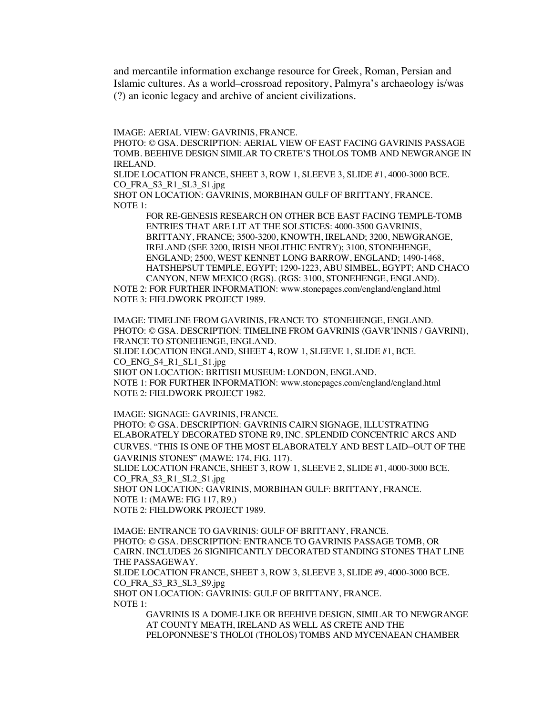and mercantile information exchange resource for Greek, Roman, Persian and Islamic cultures. As a world–crossroad repository, Palmyra's archaeology is/was (?) an iconic legacy and archive of ancient civilizations.

IMAGE: AERIAL VIEW: GAVRINIS, FRANCE.

PHOTO: © GSA. DESCRIPTION: AERIAL VIEW OF EAST FACING GAVRINIS PASSAGE TOMB. BEEHIVE DESIGN SIMILAR TO CRETE'S THOLOS TOMB AND NEWGRANGE IN IRELAND.

SLIDE LOCATION FRANCE, SHEET 3, ROW 1, SLEEVE 3, SLIDE #1, 4000-3000 BCE. CO\_FRA\_S3\_R1\_SL3\_S1.jpg

SHOT ON LOCATION: GAVRINIS, MORBIHAN GULF OF BRITTANY, FRANCE. NOTE 1:

> FOR RE-GENESIS RESEARCH ON OTHER BCE EAST FACING TEMPLE-TOMB ENTRIES THAT ARE LIT AT THE SOLSTICES: 4000-3500 GAVRINIS, BRITTANY, FRANCE; 3500-3200, KNOWTH, IRELAND; 3200, NEWGRANGE, IRELAND (SEE 3200, IRISH NEOLITHIC ENTRY); 3100, STONEHENGE, ENGLAND; 2500, WEST KENNET LONG BARROW, ENGLAND; 1490-1468, HATSHEPSUT TEMPLE, EGYPT; 1290-1223, ABU SIMBEL, EGYPT; AND CHACO CANYON, NEW MEXICO (RGS). (RGS: 3100, STONEHENGE, ENGLAND).

NOTE 2: FOR FURTHER INFORMATION: www.stonepages.com/england/england.html NOTE 3: FIELDWORK PROJECT 1989.

IMAGE: TIMELINE FROM GAVRINIS, FRANCE TO STONEHENGE, ENGLAND. PHOTO: © GSA. DESCRIPTION: TIMELINE FROM GAVRINIS (GAVR'INNIS / GAVRINI), FRANCE TO STONEHENGE, ENGLAND. SLIDE LOCATION ENGLAND, SHEET 4, ROW 1, SLEEVE 1, SLIDE #1, BCE. CO\_ENG\_S4\_R1\_SL1\_S1.jpg

SHOT ON LOCATION: BRITISH MUSEUM: LONDON, ENGLAND.

NOTE 1: FOR FURTHER INFORMATION: www.stonepages.com/england/england.html NOTE 2: FIELDWORK PROJECT 1982.

IMAGE: SIGNAGE: GAVRINIS, FRANCE.

PHOTO: © GSA. DESCRIPTION: GAVRINIS CAIRN SIGNAGE, ILLUSTRATING ELABORATELY DECORATED STONE R9, INC. SPLENDID CONCENTRIC ARCS AND CURVES. "THIS IS ONE OF THE MOST ELABORATELY AND BEST LAID–OUT OF THE GAVRINIS STONES" (MAWE: 174, FIG. 117).

SLIDE LOCATION FRANCE, SHEET 3, ROW 1, SLEEVE 2, SLIDE #1, 4000-3000 BCE. CO\_FRA\_S3\_R1\_SL2\_S1.jpg

SHOT ON LOCATION: GAVRINIS, MORBIHAN GULF: BRITTANY, FRANCE. NOTE 1: (MAWE: FIG 117, R9.) NOTE 2: FIELDWORK PROJECT 1989.

IMAGE: ENTRANCE TO GAVRINIS: GULF OF BRITTANY, FRANCE. PHOTO: © GSA. DESCRIPTION: ENTRANCE TO GAVRINIS PASSAGE TOMB, OR CAIRN. INCLUDES 26 SIGNIFICANTLY DECORATED STANDING STONES THAT LINE THE PASSAGEWAY.

SLIDE LOCATION FRANCE, SHEET 3, ROW 3, SLEEVE 3, SLIDE #9, 4000-3000 BCE. CO\_FRA\_S3\_R3\_SL3\_S9.jpg

SHOT ON LOCATION: GAVRINIS: GULF OF BRITTANY, FRANCE. NOTE 1:

> GAVRINIS IS A DOME-LIKE OR BEEHIVE DESIGN, SIMILAR TO NEWGRANGE AT COUNTY MEATH, IRELAND AS WELL AS CRETE AND THE PELOPONNESE'S THOLOI (THOLOS) TOMBS AND MYCENAEAN CHAMBER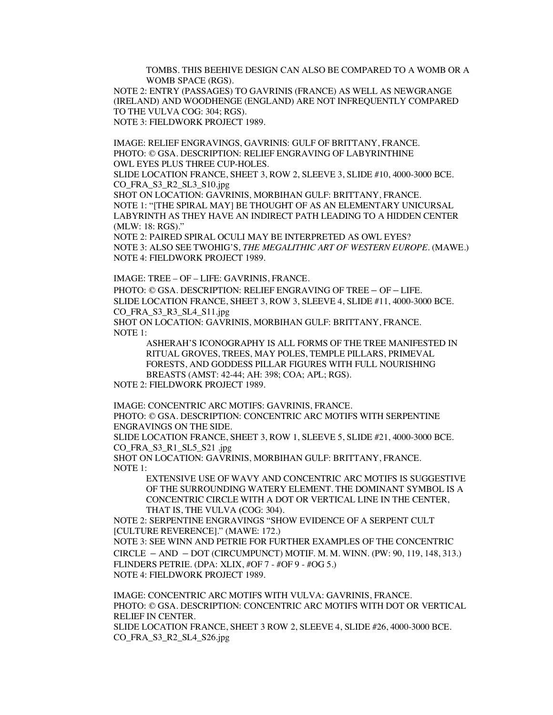TOMBS. THIS BEEHIVE DESIGN CAN ALSO BE COMPARED TO A WOMB OR A WOMB SPACE (RGS).

NOTE 2: ENTRY (PASSAGES) TO GAVRINIS (FRANCE) AS WELL AS NEWGRANGE (IRELAND) AND WOODHENGE (ENGLAND) ARE NOT INFREQUENTLY COMPARED TO THE VULVA COG: 304; RGS). NOTE 3: FIELDWORK PROJECT 1989.

IMAGE: RELIEF ENGRAVINGS, GAVRINIS: GULF OF BRITTANY, FRANCE. PHOTO: © GSA. DESCRIPTION: RELIEF ENGRAVING OF LABYRINTHINE OWL EYES PLUS THREE CUP-HOLES.

SLIDE LOCATION FRANCE, SHEET 3, ROW 2, SLEEVE 3, SLIDE #10, 4000-3000 BCE. CO\_FRA\_S3\_R2\_SL3\_S10.jpg

SHOT ON LOCATION: GAVRINIS, MORBIHAN GULF: BRITTANY, FRANCE. NOTE 1: "[THE SPIRAL MAY] BE THOUGHT OF AS AN ELEMENTARY UNICURSAL LABYRINTH AS THEY HAVE AN INDIRECT PATH LEADING TO A HIDDEN CENTER (MLW: 18: RGS)."

NOTE 2: PAIRED SPIRAL OCULI MAY BE INTERPRETED AS OWL EYES? NOTE 3: ALSO SEE TWOHIG'S, *THE MEGALITHIC ART OF WESTERN EUROPE*. (MAWE.) NOTE 4: FIELDWORK PROJECT 1989.

IMAGE: TREE – OF – LIFE: GAVRINIS, FRANCE.

PHOTO: © GSA. DESCRIPTION: RELIEF ENGRAVING OF TREE – OF – LIFE. SLIDE LOCATION FRANCE, SHEET 3, ROW 3, SLEEVE 4, SLIDE #11, 4000-3000 BCE. CO\_FRA\_S3\_R3\_SL4\_S11.jpg

SHOT ON LOCATION: GAVRINIS, MORBIHAN GULF: BRITTANY, FRANCE. NOTE 1:

> ASHERAH'S ICONOGRAPHY IS ALL FORMS OF THE TREE MANIFESTED IN RITUAL GROVES, TREES, MAY POLES, TEMPLE PILLARS, PRIMEVAL FORESTS, AND GODDESS PILLAR FIGURES WITH FULL NOURISHING BREASTS (AMST: 42-44; AH: 398; COA; APL; RGS).

NOTE 2: FIELDWORK PROJECT 1989.

IMAGE: CONCENTRIC ARC MOTIFS: GAVRINIS, FRANCE.

PHOTO: © GSA. DESCRIPTION: CONCENTRIC ARC MOTIFS WITH SERPENTINE ENGRAVINGS ON THE SIDE.

SLIDE LOCATION FRANCE, SHEET 3, ROW 1, SLEEVE 5, SLIDE #21, 4000-3000 BCE. CO\_FRA\_S3\_R1\_SL5\_S21 .jpg

SHOT ON LOCATION: GAVRINIS, MORBIHAN GULF: BRITTANY, FRANCE. NOTE 1:

EXTENSIVE USE OF WAVY AND CONCENTRIC ARC MOTIFS IS SUGGESTIVE OF THE SURROUNDING WATERY ELEMENT. THE DOMINANT SYMBOL IS A CONCENTRIC CIRCLE WITH A DOT OR VERTICAL LINE IN THE CENTER, THAT IS, THE VULVA **(**COG: 304).

NOTE 2: SERPENTINE ENGRAVINGS "SHOW EVIDENCE OF A SERPENT CULT [CULTURE REVERENCE]." (MAWE: 172.)

NOTE 3: SEE WINN AND PETRIE FOR FURTHER EXAMPLES OF THE CONCENTRIC CIRCLE – AND – DOT (CIRCUMPUNCT) MOTIF. M. M. WINN. (PW: 90, 119, 148, 313.) FLINDERS PETRIE. (DPA: XLIX, #OF 7 - #OF 9 - #OG 5.) NOTE 4: FIELDWORK PROJECT 1989.

IMAGE: CONCENTRIC ARC MOTIFS WITH VULVA: GAVRINIS, FRANCE. PHOTO: © GSA. DESCRIPTION: CONCENTRIC ARC MOTIFS WITH DOT OR VERTICAL RELIEF IN CENTER. SLIDE LOCATION FRANCE, SHEET 3 ROW 2, SLEEVE 4, SLIDE #26, 4000-3000 BCE. CO\_FRA\_S3\_R2\_SL4\_S26.jpg